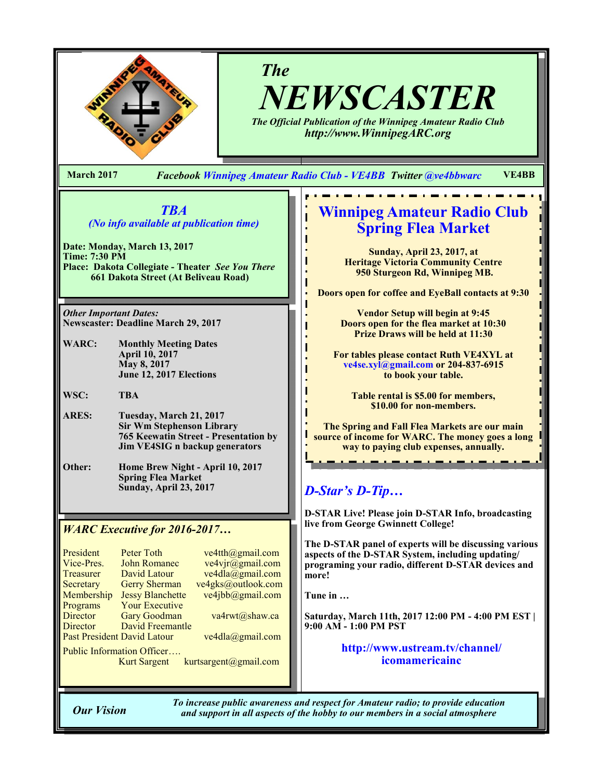

# *The NEWSCASTER*

*The Official Publication of the Winnipeg Amateur Radio Club http://www.WinnipegARC.org*

**March 2017** *Facebook Winnipeg Amateur Radio Club - VE4BB Twitter @ve4bbwarc* **VE4BB**

# *TBA (No info available at publication time)*

**Date: Monday, March 13, 2017 Time: 7:30 PM Place: Dakota Collegiate - Theater** *See You There* **661 Dakota Street (At Beliveau Road)**

*Other Important Dates:* **Newscaster: Deadline March 29, 2017**

**WARC: Monthly Meeting Dates April 10, 2017 May 8, 2017 June 12, 2017 Elections**

**WSC: TBA**

- **ARES: Tuesday, March 21, 2017 Sir Wm Stephenson Library 765 Keewatin Street - Presentation by Jim VE4SIG n backup generators**
- **Other: Home Brew Night - April 10, 2017 Spring Flea Market Sunday, April 23, 2017**

# *WARC Executive for 2016-2017…*

| President                         | <b>Peter Toth</b>       | ve4tth@gmail.com   |  |
|-----------------------------------|-------------------------|--------------------|--|
| Vice-Pres.                        | <b>John Romanec</b>     | ve4vjr@gmail.com   |  |
| Treasurer                         | David Latour            | ve4dla@gmail.com   |  |
| Secretary                         | <b>Gerry Sherman</b>    | ve4gks@outlook.com |  |
| Membership                        | <b>Jessy Blanchette</b> | ve4jbb@gmail.com   |  |
| Programs                          | <b>Your Executive</b>   |                    |  |
| Director                          | <b>Gary Goodman</b>     | va4rwt@shaw.ca     |  |
| Director                          | <b>David Freemantle</b> |                    |  |
| Past President David Latour       |                         | ve4dla@gmail.com   |  |
| <b>Public Information Officer</b> |                         |                    |  |

Kurt Sargent kurtsargent@gmail.com

# **Winnipeg Amateur Radio Club Spring Flea Market**

**Sunday, April 23, 2017, at Heritage Victoria Community Centre 950 Sturgeon Rd, Winnipeg MB.**

**Doors open for coffee and EyeBall contacts at 9:30**

**Vendor Setup will begin at 9:45 Doors open for the flea market at 10:30 Prize Draws will be held at 11:30**

**For tables please contact Ruth VE4XYL at ve4se.xyl@gmail.com or 204-837-6915 to book your table.**

> **Table rental is \$5.00 for members, \$10.00 for non-members.**

**The Spring and Fall Flea Markets are our main source of income for WARC. The money goes a long way to paying club expenses, annually.** 

# *D-Star's D-Tip…*

**D-STAR Live! Please join D-STAR Info, broadcasting live from George Gwinnett College!** 

**The D-STAR panel of experts will be discussing various aspects of the D-STAR System, including updating/ programing your radio, different D-STAR devices and more!**

**Tune in …**

**Saturday, March 11th, 2017 12:00 PM - 4:00 PM EST | 9:00 AM - 1:00 PM PST**

> **http://www.ustream.tv/channel/ icomamericainc**

*To increase public awareness and respect for Amateur radio; to provide education Our Vision and support in all aspects of the hobby to our members in a social atmosphere*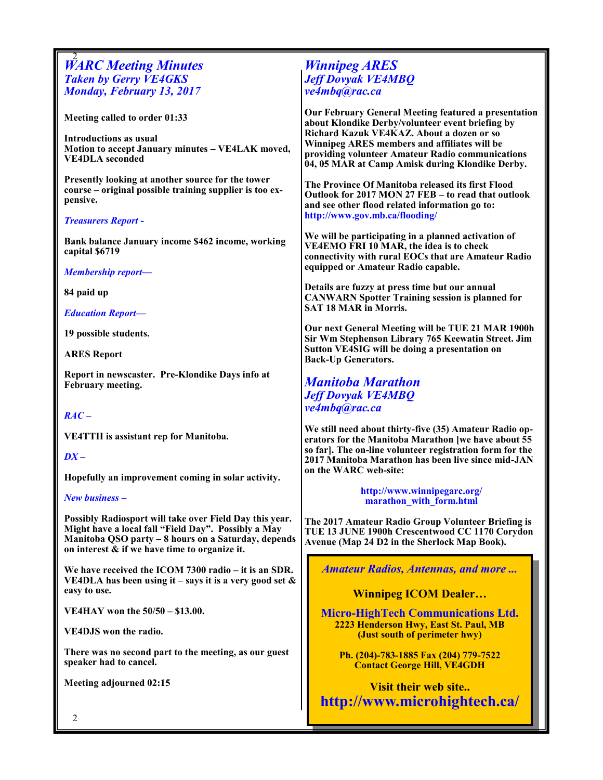# 2 *WARC Meeting Minutes Taken by Gerry VE4GKS Monday, February 13, 2017*

**Meeting called to order 01:33**

**Introductions as usual Motion to accept January minutes – VE4LAK moved, VE4DLA seconded**

**Presently looking at another source for the tower course – original possible training supplier is too expensive.**

## *Treasurers Report -*

**Bank balance January income \$462 income, working capital \$6719**

*Membership report—*

**84 paid up**

*Education Report—*

**19 possible students.**

**ARES Report**

**Report in newscaster. Pre-Klondike Days info at February meeting.**

## *RAC –*

**VE4TTH is assistant rep for Manitoba.**

## *DX –*

**Hopefully an improvement coming in solar activity.**

#### *New business –*

**Possibly Radiosport will take over Field Day this year. Might have a local fall "Field Day". Possibly a May Manitoba QSO party – 8 hours on a Saturday, depends on interest & if we have time to organize it.**

**We have received the ICOM 7300 radio – it is an SDR. VE4DLA has been using it – says it is a very good set & easy to use.**

**VE4HAY won the 50/50 – \$13.00.**

**VE4DJS won the radio.**

**There was no second part to the meeting, as our guest speaker had to cancel.**

**Meeting adjourned 02:15**

# *Winnipeg ARES Jeff Dovyak VE4MBQ ve4mbq@rac.ca*

**Our February General Meeting featured a presentation about Klondike Derby/volunteer event briefing by Richard Kazuk VE4KAZ. About a dozen or so Winnipeg ARES members and affiliates will be providing volunteer Amateur Radio communications 04, 05 MAR at Camp Amisk during Klondike Derby.**

**The Province Of Manitoba released its first Flood Outlook for 2017 MON 27 FEB – to read that outlook and see other flood related information go to: http://www.gov.mb.ca/flooding/** 

**We will be participating in a planned activation of VE4EMO FRI 10 MAR, the idea is to check connectivity with rural EOCs that are Amateur Radio equipped or Amateur Radio capable.**

**Details are fuzzy at press time but our annual CANWARN Spotter Training session is planned for SAT 18 MAR in Morris.** 

**Our next General Meeting will be TUE 21 MAR 1900h Sir Wm Stephenson Library 765 Keewatin Street. Jim Sutton VE4SIG will be doing a presentation on Back-Up Generators.**

# *Manitoba Marathon Jeff Dovyak VE4MBQ ve4mbq@rac.ca*

**We still need about thirty-five (35) Amateur Radio operators for the Manitoba Marathon [we have about 55 so far]. The on-line volunteer registration form for the 2017 Manitoba Marathon has been live since mid-JAN on the WARC web-site:** 

> **http://www.winnipegarc.org/ marathon\_with\_form.html**

**The 2017 Amateur Radio Group Volunteer Briefing is TUE 13 JUNE 1900h Crescentwood CC 1170 Corydon Avenue (Map 24 D2 in the Sherlock Map Book).** 

*Amateur Radios, Antennas, and more ...* 

# **Winnipeg ICOM Dealer…**

**Micro-HighTech Communications Ltd. 2223 Henderson Hwy, East St. Paul, MB (Just south of perimeter hwy)**

**Ph. (204)-783-1885 Fax (204) 779-7522 Contact George Hill, VE4GDH**

**Visit their web site.. http://www.microhightech.ca/**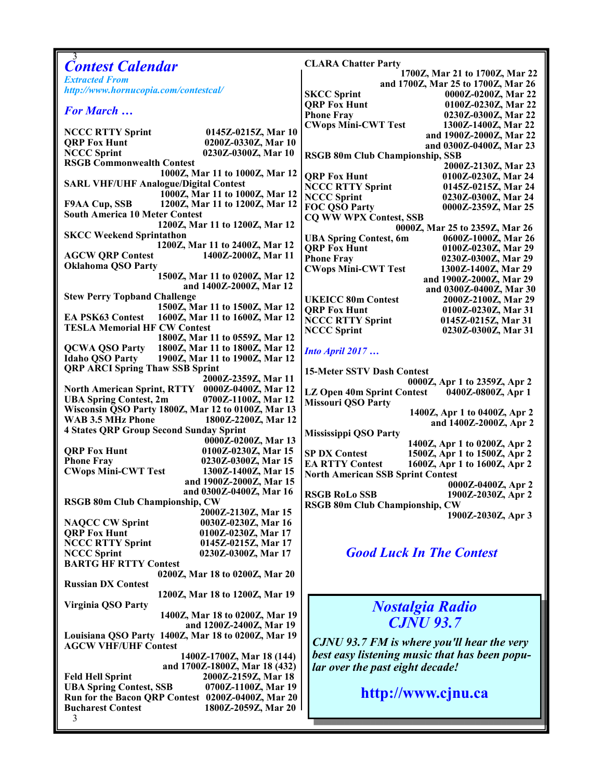| 3<br><b>Contest Calendar</b>                                                               | <b>CLARA Chatter Party</b>                                                                  |  |
|--------------------------------------------------------------------------------------------|---------------------------------------------------------------------------------------------|--|
| <b>Extracted From</b>                                                                      | 1700Z, Mar 21 to 1700Z, Mar 22                                                              |  |
| http://www.hornucopia.com/contestcal/                                                      | and 1700Z, Mar 25 to 1700Z, Mar 26                                                          |  |
|                                                                                            | <b>SKCC Sprint</b><br>0000Z-0200Z, Mar 22<br><b>ORP Fox Hunt</b>                            |  |
| <b>For March </b>                                                                          | 0100Z-0230Z, Mar 22<br><b>Phone Fray</b><br>0230Z-0300Z, Mar 22                             |  |
|                                                                                            | <b>CWops Mini-CWT Test</b><br>1300Z-1400Z, Mar 22                                           |  |
| <b>NCCC RTTY Sprint</b><br>0145Z-0215Z, Mar 10                                             | and 1900Z-2000Z, Mar 22                                                                     |  |
| 0200Z-0330Z, Mar 10<br><b>QRP Fox Hunt</b>                                                 | and 0300Z-0400Z, Mar 23                                                                     |  |
| <b>NCCC Sprint</b><br>0230Z-0300Z, Mar 10                                                  | <b>RSGB 80m Club Championship, SSB</b>                                                      |  |
| <b>RSGB Commonwealth Contest</b><br>1000Z, Mar 11 to 1000Z, Mar 12                         | 2000Z-2130Z, Mar 23                                                                         |  |
| <b>SARL VHF/UHF Analogue/Digital Contest</b>                                               | <b>ORP Fox Hunt</b><br>0100Z-0230Z, Mar 24                                                  |  |
| 1000Z, Mar 11 to 1000Z, Mar 12                                                             | <b>NCCC RTTY Sprint</b><br>0145Z-0215Z, Mar 24<br><b>NCCC Sprint</b><br>0230Z-0300Z, Mar 24 |  |
| <b>F9AA Cup, SSB</b><br>1200Z, Mar 11 to 1200Z, Mar 12                                     | <b>FOC QSO Party</b><br>0000Z-2359Z, Mar 25                                                 |  |
| <b>South America 10 Meter Contest</b>                                                      | <b>CQ WW WPX Contest, SSB</b>                                                               |  |
| 1200Z, Mar 11 to 1200Z, Mar 12                                                             | 0000Z, Mar 25 to 2359Z, Mar 26                                                              |  |
| <b>SKCC Weekend Sprintathon</b>                                                            | 0600Z-1000Z, Mar 26<br><b>UBA Spring Contest, 6m</b>                                        |  |
| 1200Z, Mar 11 to 2400Z, Mar 12                                                             | <b>QRP Fox Hunt</b><br>0100Z-0230Z, Mar 29                                                  |  |
| <b>AGCW QRP Contest</b><br>1400Z-2000Z, Mar 11<br><b>Oklahoma QSO Party</b>                | <b>Phone Fray</b><br>0230Z-0300Z, Mar 29                                                    |  |
| 1500Z, Mar 11 to 0200Z, Mar 12                                                             | <b>CWops Mini-CWT Test</b><br>1300Z-1400Z, Mar 29                                           |  |
| and 1400Z-2000Z, Mar 12                                                                    | and 1900Z-2000Z, Mar 29<br>and 0300Z-0400Z, Mar 30                                          |  |
| <b>Stew Perry Topband Challenge</b>                                                        | <b>UKEICC 80m Contest</b><br>2000Z-2100Z, Mar 29                                            |  |
| 1500Z, Mar 11 to 1500Z, Mar 12                                                             | <b>QRP Fox Hunt</b><br>0100Z-0230Z, Mar 31                                                  |  |
| <b>EA PSK63 Contest</b><br>1600Z, Mar 11 to 1600Z, Mar 12                                  | <b>NCCC RTTY Sprint</b><br>0145Z-0215Z, Mar 31                                              |  |
| <b>TESLA Memorial HF CW Contest</b>                                                        | <b>NCCC Sprint</b><br>0230Z-0300Z, Mar 31                                                   |  |
| 1800Z, Mar 11 to 0559Z, Mar 12<br>1800Z, Mar 11 to 1800Z, Mar 12<br><b>QCWA QSO Party</b>  |                                                                                             |  |
| <b>Idaho QSO Party</b><br>1900Z, Mar 11 to 1900Z, Mar 12                                   | <b>Into April 2017</b>                                                                      |  |
| <b>QRP ARCI Spring Thaw SSB Sprint</b>                                                     | <b>15-Meter SSTV Dash Contest</b>                                                           |  |
| 2000Z-2359Z, Mar 11                                                                        | 0000Z, Apr 1 to 2359Z, Apr 2                                                                |  |
| North American Sprint, RTTY 0000Z-0400Z, Mar 12                                            | LZ Open 40m Sprint Contest<br>0400Z-0800Z, Apr 1                                            |  |
| <b>UBA Spring Contest, 2m</b><br>0700Z-1100Z, Mar 12                                       | <b>Missouri QSO Party</b>                                                                   |  |
| Wisconsin QSO Party 1800Z, Mar 12 to 0100Z, Mar 13                                         | 1400Z, Apr 1 to 0400Z, Apr 2                                                                |  |
| WAB 3.5 MHz Phone<br>1800Z-2200Z, Mar 12<br><b>4 States QRP Group Second Sunday Sprint</b> | and 1400Z-2000Z, Apr 2                                                                      |  |
| 0000Z-0200Z, Mar 13                                                                        | <b>Mississippi QSO Party</b><br>1400Z, Apr 1 to 0200Z, Apr 2                                |  |
| <b>QRP Fox Hunt</b><br>0100Z-0230Z, Mar 15                                                 | <b>SP DX Contest</b><br>1500Z, Apr 1 to 1500Z, Apr 2                                        |  |
| <b>Phone Fray</b><br>0230Z-0300Z, Mar 15                                                   | <b>EA RTTY Contest</b><br>1600Z, Apr 1 to 1600Z, Apr 2                                      |  |
| <b>CWops Mini-CWT Test</b><br>1300Z-1400Z, Mar 15                                          | <b>North American SSB Sprint Contest</b>                                                    |  |
| and 1900Z-2000Z, Mar 15                                                                    | 0000Z-0400Z, Apr 2                                                                          |  |
| and 0300Z-0400Z. Mar 16<br>RSGB 80m Club Championship, CW                                  | <b>RSGB RoLo SSB</b><br>1900Z-2030Z, Apr 2                                                  |  |
| 2000Z-2130Z, Mar 15                                                                        | <b>RSGB 80m Club Championship, CW</b>                                                       |  |
| <b>NAQCC CW Sprint</b><br>0030Z-0230Z, Mar 16                                              | 1900Z-2030Z, Apr 3                                                                          |  |
| <b>QRP Fox Hunt</b><br>0100Z-0230Z, Mar 17                                                 |                                                                                             |  |
| <b>NCCC RTTY Sprint</b><br>0145Z-0215Z, Mar 17                                             |                                                                                             |  |
| <b>NCCC Sprint</b><br>0230Z-0300Z, Mar 17                                                  | <b>Good Luck In The Contest</b>                                                             |  |
| <b>BARTG HF RTTY Contest</b><br>0200Z, Mar 18 to 0200Z, Mar 20                             |                                                                                             |  |
| <b>Russian DX Contest</b>                                                                  |                                                                                             |  |
| 1200Z, Mar 18 to 1200Z, Mar 19                                                             |                                                                                             |  |
| Virginia QSO Party                                                                         | <b>Nostalgia Radio</b>                                                                      |  |
| 1400Z, Mar 18 to 0200Z, Mar 19                                                             |                                                                                             |  |
| and 1200Z-2400Z, Mar 19                                                                    | <b>CJNU 93.7</b>                                                                            |  |
| Louisiana QSO Party 1400Z, Mar 18 to 0200Z, Mar 19                                         | <b>CJNU 93.7 FM is where you'll hear the very</b>                                           |  |
| <b>AGCW VHF/UHF Contest</b><br>1400Z-1700Z, Mar 18 (144)                                   | best easy listening music that has been popu-                                               |  |
| and 1700Z-1800Z, Mar 18 (432)                                                              | lar over the past eight decade!                                                             |  |
| 2000Z-2159Z, Mar 18<br><b>Feld Hell Sprint</b>                                             |                                                                                             |  |
| 0700Z-1100Z, Mar 19<br><b>UBA Spring Contest, SSB</b>                                      |                                                                                             |  |
| Run for the Bacon QRP Contest 0200Z-0400Z, Mar 20                                          | http://www.cjnu.ca                                                                          |  |
| <b>Bucharest Contest</b><br>1800Z-2059Z, Mar 20                                            |                                                                                             |  |
| 3                                                                                          |                                                                                             |  |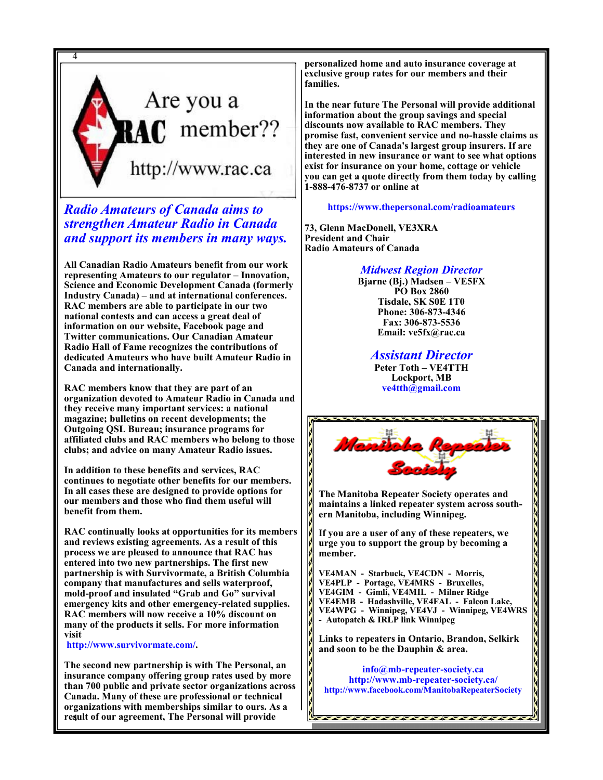

*Radio Amateurs of Canada aims to strengthen Amateur Radio in Canada and support its members in many ways.*

**All Canadian Radio Amateurs benefit from our work representing Amateurs to our regulator – Innovation, Science and Economic Development Canada (formerly Industry Canada) – and at international conferences. RAC members are able to participate in our two national contests and can access a great deal of information on our website, Facebook page and Twitter communications. Our Canadian Amateur Radio Hall of Fame recognizes the contributions of dedicated Amateurs who have built Amateur Radio in Canada and internationally.**

**RAC members know that they are part of an organization devoted to Amateur Radio in Canada and they receive many important services: a national magazine; bulletins on recent developments; the Outgoing QSL Bureau; insurance programs for affiliated clubs and RAC members who belong to those clubs; and advice on many Amateur Radio issues.**

**In addition to these benefits and services, RAC continues to negotiate other benefits for our members. In all cases these are designed to provide options for our members and those who find them useful will benefit from them.**

**RAC continually looks at opportunities for its members and reviews existing agreements. As a result of this process we are pleased to announce that RAC has entered into two new partnerships. The first new partnership is with Survivormate, a British Columbia company that manufactures and sells waterproof, mold-proof and insulated "Grab and Go" survival emergency kits and other emergency-related supplies. RAC members will now receive a 10% discount on many of the products it sells. For more information visit**

**http://www.survivormate.com/.**

4 **result of our agreement, The Personal will provide The second new partnership is with The Personal, an insurance company offering group rates used by more than 700 public and private sector organizations across Canada. Many of these are professional or technical organizations with memberships similar to ours. As a** 

**personalized home and auto insurance coverage at exclusive group rates for our members and their families.**

**In the near future The Personal will provide additional information about the group savings and special discounts now available to RAC members. They promise fast, convenient service and no-hassle claims as they are one of Canada's largest group insurers. If are interested in new insurance or want to see what options exist for insurance on your home, cottage or vehicle you can get a quote directly from them today by calling 1-888-476-8737 or online at** 

**https://www.thepersonal.com/radioamateurs**

**73, Glenn MacDonell, VE3XRA President and Chair Radio Amateurs of Canada**

## *Midwest Region Director*

**Bjarne (Bj.) Madsen – VE5FX PO Box 2860 Tisdale, SK S0E 1T0 Phone: 306-873-4346 Fax: 306-873-5536 Email: ve5fx@rac.ca**

*Assistant Director*

**Peter Toth – VE4TTH Lockport, MB ve4tth@gmail.com**



**The Manitoba Repeater Society operates and maintains a linked repeater system across southern Manitoba, including Winnipeg.**

**If you are a user of any of these repeaters, we urge you to support the group by becoming a member.**

**VE4MAN - Starbuck, VE4CDN - Morris, VE4PLP - Portage, VE4MRS - Bruxelles, VE4GIM - Gimli, VE4MIL - Milner Ridge VE4EMB - Hadashville, VE4FAL - Falcon Lake, VE4WPG - Winnipeg, VE4VJ - Winnipeg, VE4WRS - Autopatch & IRLP link Winnipeg**

**Links to repeaters in Ontario, Brandon, Selkirk and soon to be the Dauphin & area.**

**info@mb-repeater-society.ca http://www.mb-repeater-society.ca/ http://www.facebook.com/ManitobaRepeaterSociety**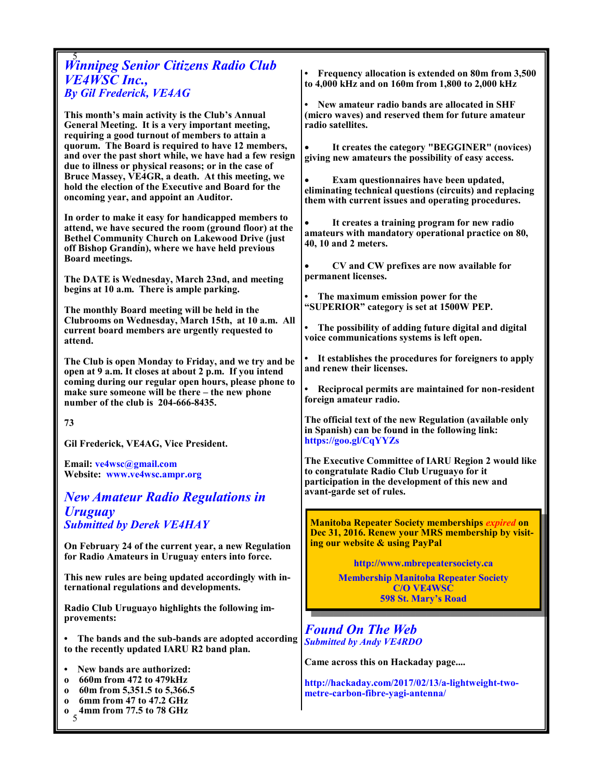# 5 *Winnipeg Senior Citizens Radio Club VE4WSC Inc., By Gil Frederick, VE4AG*

**This month's main activity is the Club's Annual General Meeting. It is a very important meeting, requiring a good turnout of members to attain a quorum. The Board is required to have 12 members, and over the past short while, we have had a few resign due to illness or physical reasons; or in the case of Bruce Massey, VE4GR, a death. At this meeting, we hold the election of the Executive and Board for the oncoming year, and appoint an Auditor.**

**In order to make it easy for handicapped members to attend, we have secured the room (ground floor) at the Bethel Community Church on Lakewood Drive (just off Bishop Grandin), where we have held previous Board meetings.** 

**The DATE is Wednesday, March 23nd, and meeting begins at 10 a.m. There is ample parking.** 

**The monthly Board meeting will be held in the Clubrooms on Wednesday, March 15th, at 10 a.m. All current board members are urgently requested to attend.**

**The Club is open Monday to Friday, and we try and be open at 9 a.m. It closes at about 2 p.m. If you intend coming during our regular open hours, please phone to make sure someone will be there – the new phone number of the club is 204-666-8435.** 

**73**

**Gil Frederick, VE4AG, Vice President.** 

**Email: ve4wsc@gmail.com Website: www.ve4wsc.ampr.org**

*New Amateur Radio Regulations in Uruguay Submitted by Derek VE4HAY*

**On February 24 of the current year, a new Regulation for Radio Amateurs in Uruguay enters into force.**

**This new rules are being updated accordingly with international regulations and developments.**

**Radio Club Uruguayo highlights the following improvements:**

**• The bands and the sub-bands are adopted according to the recently updated IARU R2 band plan.**

- **New bands are authorized:**
- **o 660m from 472 to 479kHz**
- **o 60m from 5,351.5 to 5,366.5**
- **o 6mm from 47 to 47.2 GHz**
- 5 **o 4mm from 77.5 to 78 GHz**

**• Frequency allocation is extended on 80m from 3,500 to 4,000 kHz and on 160m from 1,800 to 2,000 kHz**

**• New amateur radio bands are allocated in SHF (micro waves) and reserved them for future amateur radio satellites.**

• **It creates the category "BEGGINER" (novices) giving new amateurs the possibility of easy access.**

• **Exam questionnaires have been updated, eliminating technical questions (circuits) and replacing them with current issues and operating procedures.**

• **It creates a training program for new radio amateurs with mandatory operational practice on 80, 40, 10 and 2 meters.**

• **CV and CW prefixes are now available for permanent licenses.**

**• The maximum emission power for the "SUPERIOR" category is set at 1500W PEP.**

**• The possibility of adding future digital and digital voice communications systems is left open.**

**• It establishes the procedures for foreigners to apply and renew their licenses.**

**• Reciprocal permits are maintained for non-resident foreign amateur radio.**

**The official text of the new Regulation (available only in Spanish) can be found in the following link: https://goo.gl/CqYYZs**

**The Executive Committee of IARU Region 2 would like to congratulate Radio Club Uruguayo for it participation in the development of this new and avant-garde set of rules.**

**Manitoba Repeater Society memberships** *expired* **on Dec 31, 2016. Renew your MRS membership by visiting our website & using PayPal** 

**http://www.mbrepeatersociety.ca**

**Membership Manitoba Repeater Society C/O VE4WSC 598 St. Mary's Road**

*Found On The Web Submitted by Andy VE4RDO*

**Came across this on Hackaday page....** 

**http://hackaday.com/2017/02/13/a-lightweight-twometre-carbon-fibre-yagi-antenna/**